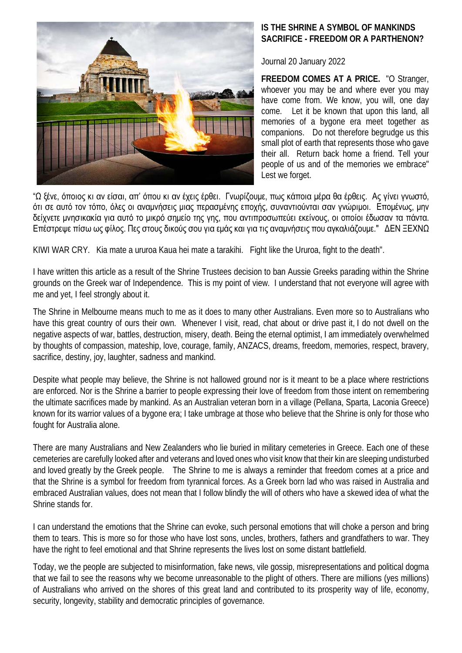

## **IS THE SHRINE A SYMBOL OF MANKINDS SACRIFICE - FREEDOM OR A PARTHENON?**

Journal 20 January 2022

**FREEDOM COMES AT A PRICE.** "O Stranger, whoever you may be and where ever you may have come from. We know, you will, one day come. Let it be known that upon this land, all memories of a bygone era meet together as companions. Do not therefore begrudge us this small plot of earth that represents those who gave their all. Return back home a friend. Tell your people of us and of the memories we embrace" Lest we forget.

"Ω ξένε, όποιος κι αν είσαι, απ' όπου κι αν έχεις έρθει. Γνωρίζουμε, πως κάποια μέρα θα έρθεις. Ας γίνει γνωστό, ότι σε αυτό τον τόπο, όλες οι αναμνήσεις μιας περασμένης εποχής, συναντιούνται σαν γνώριμοι. Επομένως, μην δείχνετε μνησικακία για αυτό το μικρό σημείο της γης, που αντιπροσωπεύει εκείνους, οι οποίοι έδωσαν τα πάντα. Επέστρεψε πίσω ως φίλος. Πες στους δικούς σου για εμάς και για τις αναμνήσεις που αγκαλιάζουμε." ΔΕΝ ΞΕΧΝΩ

KIWI WAR CRY. Kia mate a ururoa Kaua hei mate a tarakihi. Fight like the Ururoa, fight to the death".

I have written this article as a result of the Shrine Trustees decision to ban Aussie Greeks parading within the Shrine grounds on the Greek war of Independence. This is my point of view. I understand that not everyone will agree with me and yet, I feel strongly about it.

The Shrine in Melbourne means much to me as it does to many other Australians. Even more so to Australians who have this great country of ours their own. Whenever I visit, read, chat about or drive past it, I do not dwell on the negative aspects of war, battles, destruction, misery, death. Being the eternal optimist, I am immediately overwhelmed by thoughts of compassion, mateship, love, courage, family, ANZACS, dreams, freedom, memories, respect, bravery, sacrifice, destiny, joy, laughter, sadness and mankind.

Despite what people may believe, the Shrine is not hallowed ground nor is it meant to be a place where restrictions are enforced. Nor is the Shrine a barrier to people expressing their love of freedom from those intent on remembering the ultimate sacrifices made by mankind. As an Australian veteran born in a village (Pellana, Sparta, Laconia Greece) known for its warrior values of a bygone era; I take umbrage at those who believe that the Shrine is only for those who fought for Australia alone.

There are many Australians and New Zealanders who lie buried in military cemeteries in Greece. Each one of these cemeteries are carefully looked after and veterans and loved ones who visit know that their kin are sleeping undisturbed and loved greatly by the Greek people. The Shrine to me is always a reminder that freedom comes at a price and that the Shrine is a symbol for freedom from tyrannical forces. As a Greek born lad who was raised in Australia and embraced Australian values, does not mean that I follow blindly the will of others who have a skewed idea of what the Shrine stands for.

I can understand the emotions that the Shrine can evoke, such personal emotions that will choke a person and bring them to tears. This is more so for those who have lost sons, uncles, brothers, fathers and grandfathers to war. They have the right to feel emotional and that Shrine represents the lives lost on some distant battlefield.

Today, we the people are subjected to misinformation, fake news, vile gossip, misrepresentations and political dogma that we fail to see the reasons why we become unreasonable to the plight of others. There are millions (yes millions) of Australians who arrived on the shores of this great land and contributed to its prosperity way of life, economy, security, longevity, stability and democratic principles of governance.